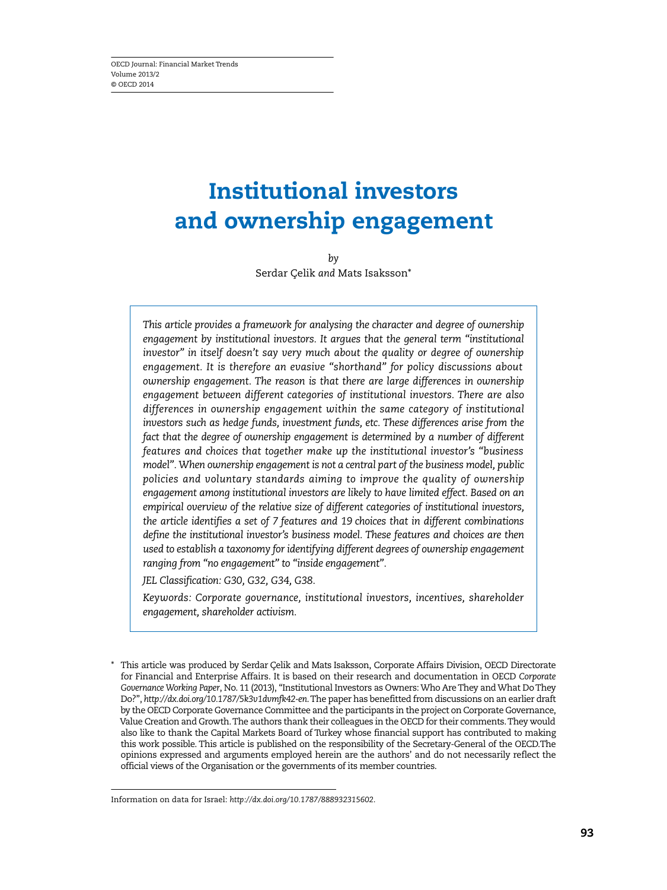# **Institutional investors and ownership engagement**

*by* Serdar Çelik *and* Mats Isaksson\*

*This article provides a framework for analysing the character and degree of ownership engagement by institutional investors. It argues that the general term "institutional investor" in itself doesn't say very much about the quality or degree of ownership engagement. It is therefore an evasive "shorthand" for policy discussions about ownership engagement. The reason is that there are large differences in ownership engagement between different categories of institutional investors. There are also differences in ownership engagement within the same category of institutional investors such as hedge funds, investment funds, etc. These differences arise from the fact that the degree of ownership engagement is determined by a number of different features and choices that together make up the institutional investor's "business model".When ownership engagement is not a central part of the business model, public policies and voluntary standards aiming to improve the quality of ownership engagement among institutional investors are likely to have limited effect. Based on an empirical overview of the relative size of different categories of institutional investors, the article identifies a set of 7 features and 19 choices that in different combinations define the institutional investor's business model. These features and choices are then used to establish a taxonomy for identifying different degrees of ownership engagement ranging from "no engagement" to "inside engagement".*

*JEL Classification: G30, G32, G34, G38.*

*Keywords: Corporate governance, institutional investors, incentives, shareholder engagement, shareholder activism.*

This article was produced by Serdar Çelik and Mats Isaksson, Corporate Affairs Division, OECD Directorate for Financial and Enterprise Affairs. It is based on their research and documentation in OECD *Corporate* Governance Working Paper, No. 11 (2013), "Institutional Investors as Owners: Who Are They and What Do They Do?", *[http://dx.doi.org/10.1787/5k3v1dvmfk42-en](http://dx.doi.org/10.1787/5k3v1dvmfk42-en.The)*.The paper has benefitted from discussions on an earlier draft by the OECD Corporate Governance Committee and the participants in the project on Corporate Governance, Value Creation and Growth.The authors thank their colleagues in the OECD for their comments.They would also like to thank the Capital Markets Board of Turkey whose financial support has contributed to making this work possible. This article is published on the responsibility of the Secretary-General of the OECD.The opinions expressed and arguments employed herein are the authors' and do not necessarily reflect the official views of the Organisation or the governments of its member countries.

Information on data for Israel: *<http://dx.doi.org/10.1787/888932315602>*.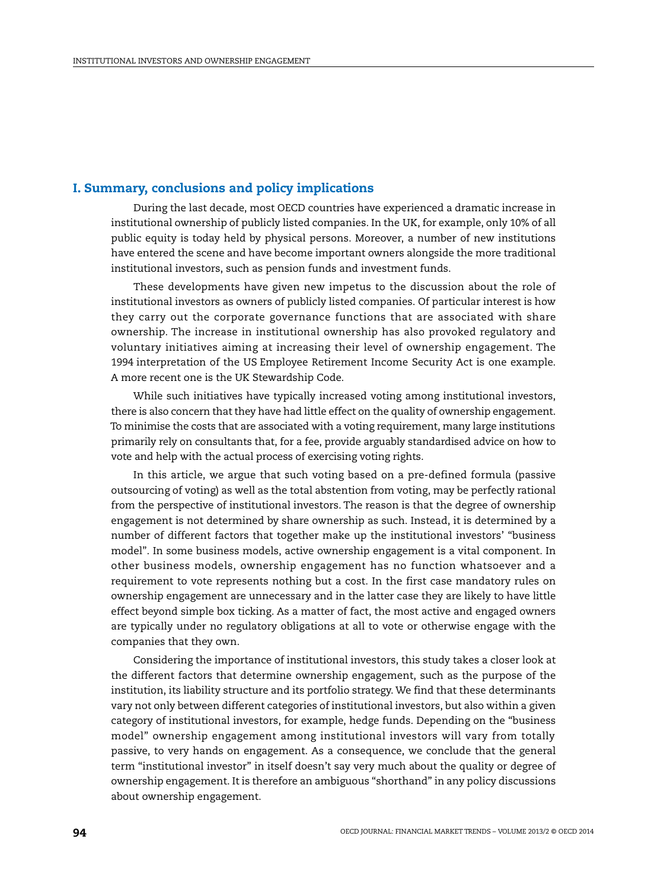# **I. Summary, conclusions and policy implications**

During the last decade, most OECD countries have experienced a dramatic increase in institutional ownership of publicly listed companies. In the UK, for example, only 10% of all public equity is today held by physical persons. Moreover, a number of new institutions have entered the scene and have become important owners alongside the more traditional institutional investors, such as pension funds and investment funds.

These developments have given new impetus to the discussion about the role of institutional investors as owners of publicly listed companies. Of particular interest is how they carry out the corporate governance functions that are associated with share ownership. The increase in institutional ownership has also provoked regulatory and voluntary initiatives aiming at increasing their level of ownership engagement. The 1994 interpretation of the US Employee Retirement Income Security Act is one example. A more recent one is the UK Stewardship Code.

While such initiatives have typically increased voting among institutional investors, there is also concern that they have had little effect on the quality of ownership engagement. To minimise the costs that are associated with a voting requirement, many large institutions primarily rely on consultants that, for a fee, provide arguably standardised advice on how to vote and help with the actual process of exercising voting rights.

In this article, we argue that such voting based on a pre-defined formula (passive outsourcing of voting) as well as the total abstention from voting, may be perfectly rational from the perspective of institutional investors. The reason is that the degree of ownership engagement is not determined by share ownership as such. Instead, it is determined by a number of different factors that together make up the institutional investors' "business model". In some business models, active ownership engagement is a vital component. In other business models, ownership engagement has no function whatsoever and a requirement to vote represents nothing but a cost. In the first case mandatory rules on ownership engagement are unnecessary and in the latter case they are likely to have little effect beyond simple box ticking. As a matter of fact, the most active and engaged owners are typically under no regulatory obligations at all to vote or otherwise engage with the companies that they own.

Considering the importance of institutional investors, this study takes a closer look at the different factors that determine ownership engagement, such as the purpose of the institution, its liability structure and its portfolio strategy. We find that these determinants vary not only between different categories of institutional investors, but also within a given category of institutional investors, for example, hedge funds. Depending on the "business model" ownership engagement among institutional investors will vary from totally passive, to very hands on engagement. As a consequence, we conclude that the general term "institutional investor" in itself doesn't say very much about the quality or degree of ownership engagement. It is therefore an ambiguous "shorthand" in any policy discussions about ownership engagement.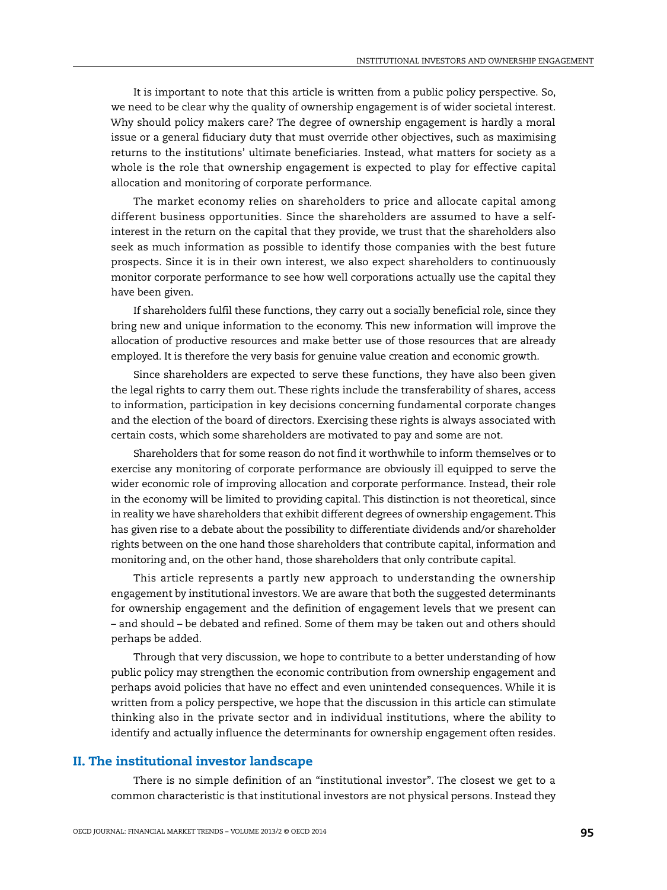It is important to note that this article is written from a public policy perspective. So, we need to be clear why the quality of ownership engagement is of wider societal interest. Why should policy makers care? The degree of ownership engagement is hardly a moral issue or a general fiduciary duty that must override other objectives, such as maximising returns to the institutions' ultimate beneficiaries. Instead, what matters for society as a whole is the role that ownership engagement is expected to play for effective capital allocation and monitoring of corporate performance.

The market economy relies on shareholders to price and allocate capital among different business opportunities. Since the shareholders are assumed to have a selfinterest in the return on the capital that they provide, we trust that the shareholders also seek as much information as possible to identify those companies with the best future prospects. Since it is in their own interest, we also expect shareholders to continuously monitor corporate performance to see how well corporations actually use the capital they have been given.

If shareholders fulfil these functions, they carry out a socially beneficial role, since they bring new and unique information to the economy. This new information will improve the allocation of productive resources and make better use of those resources that are already employed. It is therefore the very basis for genuine value creation and economic growth.

Since shareholders are expected to serve these functions, they have also been given the legal rights to carry them out. These rights include the transferability of shares, access to information, participation in key decisions concerning fundamental corporate changes and the election of the board of directors. Exercising these rights is always associated with certain costs, which some shareholders are motivated to pay and some are not.

Shareholders that for some reason do not find it worthwhile to inform themselves or to exercise any monitoring of corporate performance are obviously ill equipped to serve the wider economic role of improving allocation and corporate performance. Instead, their role in the economy will be limited to providing capital. This distinction is not theoretical, since in reality we have shareholders that exhibit different degrees of ownership engagement.This has given rise to a debate about the possibility to differentiate dividends and/or shareholder rights between on the one hand those shareholders that contribute capital, information and monitoring and, on the other hand, those shareholders that only contribute capital.

This article represents a partly new approach to understanding the ownership engagement by institutional investors. We are aware that both the suggested determinants for ownership engagement and the definition of engagement levels that we present can – and should – be debated and refined. Some of them may be taken out and others should perhaps be added.

Through that very discussion, we hope to contribute to a better understanding of how public policy may strengthen the economic contribution from ownership engagement and perhaps avoid policies that have no effect and even unintended consequences. While it is written from a policy perspective, we hope that the discussion in this article can stimulate thinking also in the private sector and in individual institutions, where the ability to identify and actually influence the determinants for ownership engagement often resides.

# <span id="page-2-0"></span>**II. The institutional investor landscape**

There is no simple definition of an "institutional investor". The closest we get to a common characteristic is that institutional investors are not physical persons. Instead they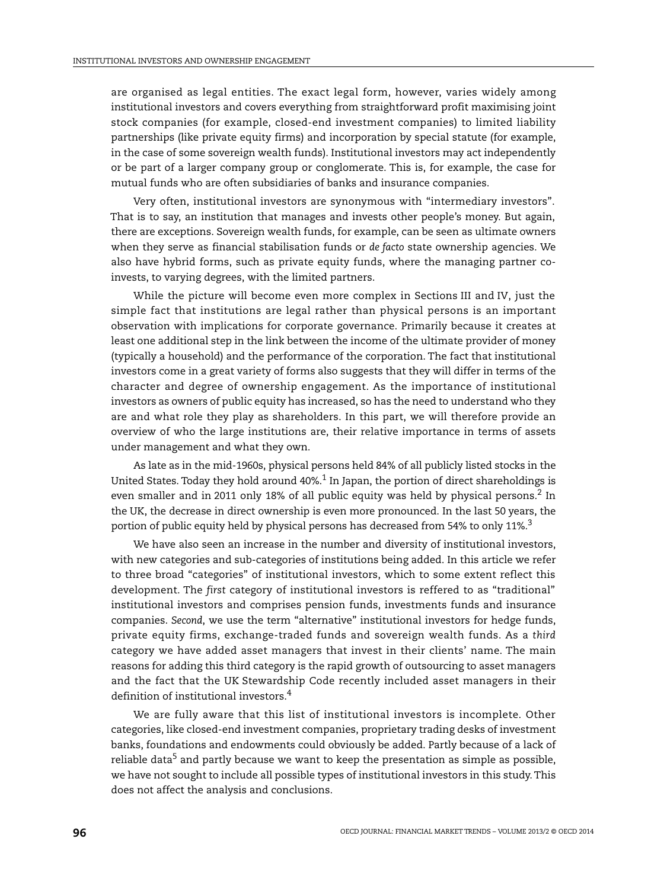are organised as legal entities. The exact legal form, however, varies widely among institutional investors and covers everything from straightforward profit maximising joint stock companies (for example, closed-end investment companies) to limited liability partnerships (like private equity firms) and incorporation by special statute (for example, in the case of some sovereign wealth funds). Institutional investors may act independently or be part of a larger company group or conglomerate. This is, for example, the case for mutual funds who are often subsidiaries of banks and insurance companies.

Very often, institutional investors are synonymous with "intermediary investors". That is to say, an institution that manages and invests other people's money. But again, there are exceptions. Sovereign wealth funds, for example, can be seen as ultimate owners when they serve as financial stabilisation funds or *de facto* state ownership agencies. We also have hybrid forms, such as private equity funds, where the managing partner coinvests, to varying degrees, with the limited partners.

While the picture will become even more complex in [Sections III](#page-10-0) [and IV,](#page-17-0) just the simple fact that institutions are legal rather than physical persons is an important observation with implications for corporate governance. Primarily because it creates at least one additional step in the link between the income of the ultimate provider of money (typically a household) and the performance of the corporation. The fact that institutional investors come in a great variety of forms also suggests that they will differ in terms of the character and degree of ownership engagement. As the importance of institutional investors as owners of public equity has increased, so has the need to understand who they are and what role they play as shareholders. In this part, we will therefore provide an overview of who the large institutions are, their relative importance in terms of assets under management and what they own.

As late as in the mid-1960s, physical persons held 84% of all publicly listed stocks in the United States. Today they hold around  $40\%$ <sup>1</sup> In Japan, the portion of direct shareholdings is even smaller and in [2](#page-19-1)011 only 18% of all public equity was held by physical persons.<sup>2</sup> In the UK, the decrease in direct ownership is even more pronounced. In the last 50 years, the portion of public equity held by physical persons has decreased from 54% to only 11%.<sup>3</sup>

We have also seen an increase in the number and diversity of institutional investors, with new categories and sub-categories of institutions being added. In this article we refer to three broad "categories" of institutional investors, which to some extent reflect this development. The *first* category of institutional investors is reffered to as "traditional" institutional investors and comprises pension funds, investments funds and insurance companies. *Second*, we use the term "alternative" institutional investors for hedge funds, private equity firms, exchange-traded funds and sovereign wealth funds. As a *third* category we have added asset managers that invest in their clients' name. The main reasons for adding this third category is the rapid growth of outsourcing to asset managers and the fact that the UK Stewardship Code recently included asset managers in their definition of institutional investors[.4](#page-19-3)

We are fully aware that this list of institutional investors is incomplete. Other categories, like closed-end investment companies, proprietary trading desks of investment banks, foundations and endowments could obviously be added. Partly because of a lack of reliable data<sup>[5](#page-19-4)</sup> and partly because we want to keep the presentation as simple as possible, we have not sought to include all possible types of institutional investors in this study. This does not affect the analysis and conclusions.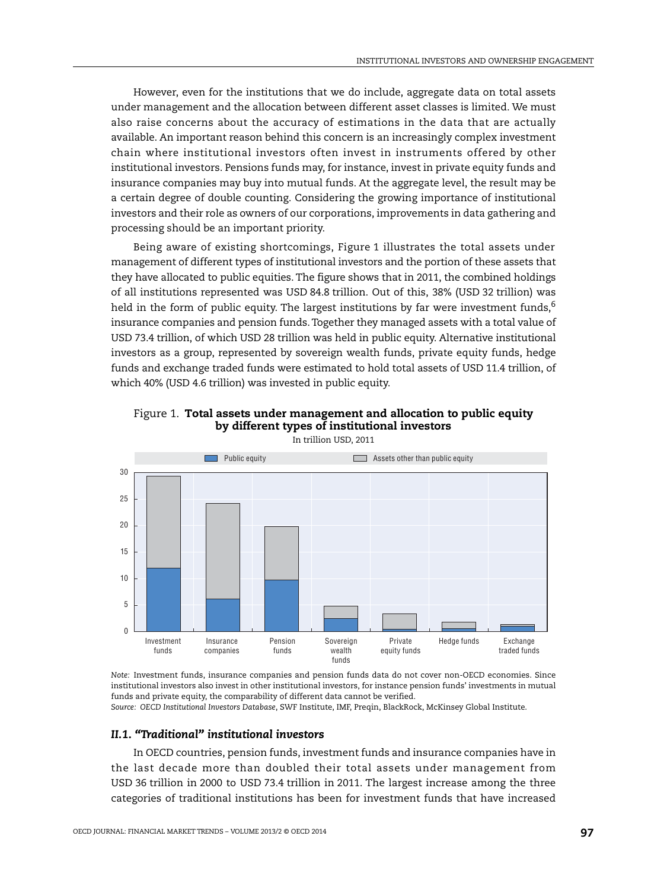However, even for the institutions that we do include, aggregate data on total assets under management and the allocation between different asset classes is limited. We must also raise concerns about the accuracy of estimations in the data that are actually available. An important reason behind this concern is an increasingly complex investment chain where institutional investors often invest in instruments offered by other institutional investors. Pensions funds may, for instance, invest in private equity funds and insurance companies may buy into mutual funds. At the aggregate level, the result may be a certain degree of double counting. Considering the growing importance of institutional investors and their role as owners of our corporations, improvements in data gathering and processing should be an important priority.

Being aware of existing shortcomings, [Figure 1](#page-4-0) illustrates the total assets under management of different types of institutional investors and the portion of these assets that they have allocated to public equities. The figure shows that in 2011, the combined holdings of all institutions represented was USD 84.8 trillion. Out of this, 38% (USD 32 trillion) was held in the form of public equity. The largest institutions by far were investment funds,  $6\%$  $6\%$ insurance companies and pension funds. Together they managed assets with a total value of USD 73.4 trillion, of which USD 28 trillion was held in public equity. Alternative institutional investors as a group, represented by sovereign wealth funds, private equity funds, hedge funds and exchange traded funds were estimated to hold total assets of USD 11.4 trillion, of which 40% (USD 4.6 trillion) was invested in public equity.

<span id="page-4-0"></span>



*Note:* Investment funds, insurance companies and pension funds data do not cover non-OECD economies. Since institutional investors also invest in other institutional investors, for instance pension funds' investments in mutual funds and private equity, the comparability of different data cannot be verified.

*Source: OECD Institutional Investors Database*, SWF Institute, IMF, Preqin, BlackRock, McKinsey Global Institute.

# *II.1. "Traditional" institutional investors*

In OECD countries, pension funds, investment funds and insurance companies have in the last decade more than doubled their total assets under management from USD 36 trillion in 2000 to USD 73.4 trillion in 2011. The largest increase among the three categories of traditional institutions has been for investment funds that have increased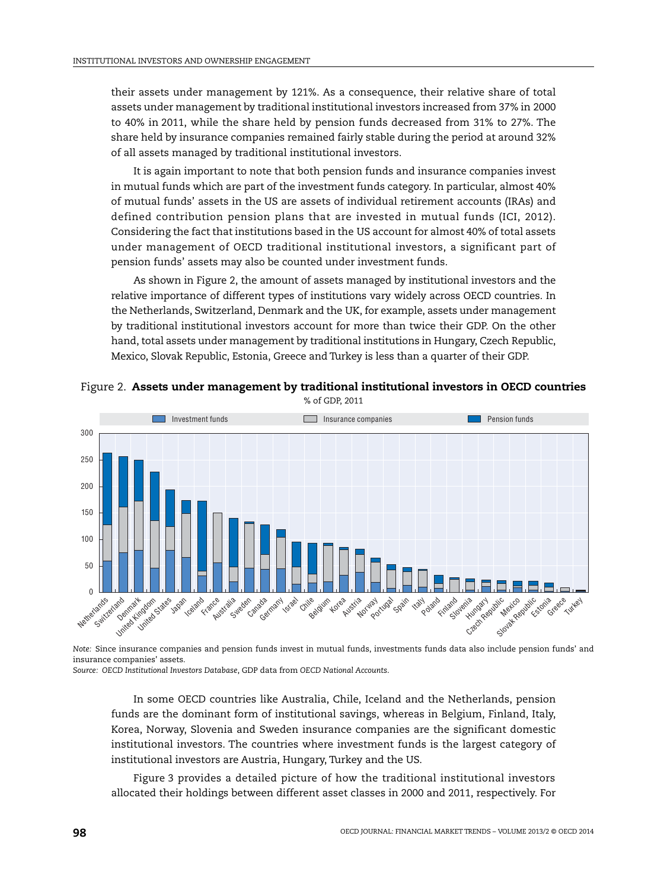their assets under management by 121%. As a consequence, their relative share of total assets under management by traditional institutional investors increased from 37% in 2000 to 40% in 2011, while the share held by pension funds decreased from 31% to 27%. The share held by insurance companies remained fairly stable during the period at around 32% of all assets managed by traditional institutional investors.

It is again important to note that both pension funds and insurance companies invest in mutual funds which are part of the investment funds category. In particular, almost 40% of mutual funds' assets in the US are assets of individual retirement accounts (IRAs) and defined contribution pension plans that are invested in mutual funds (ICI, 2012). Considering the fact that institutions based in the US account for almost 40% of total assets under management of OECD traditional institutional investors, a significant part of pension funds' assets may also be counted under investment funds.

As shown in Figure 2, the amount of assets managed by institutional investors and the relative importa[nce of dif](#page-5-0)ferent types of institutions vary widely across OECD countries. In the Netherlands, Switzerland, Denmark and the UK, for example, assets under management by traditional institutional investors account for more than twice their GDP. On the other hand, total assets under management by traditional institutions in Hungary, Czech Republic, Mexico, Slovak Republic, Estonia, Greece and Turkey is less than a quarter of their GDP.

<span id="page-5-0"></span>

Figure 2. **Assets under management by traditional institutional investors in OECD countries**

*Note:* Since insurance companies and pension funds invest in mutual funds, investments funds data also include pension funds' and insurance companies' assets.

*Source: OECD Institutional Investors Database*, GDP data from *OECD National Accounts*.

In some OECD countries like Australia, Chile, Iceland and the Netherlands, pension funds are the dominant form of institutional savings, whereas in Belgium, Finland, Italy, Korea, Norway, Slovenia and Sweden insurance companies are the significant domestic institutional investors. The countries where investment funds is the largest category of institutional investors are Austria, Hungary, Turkey and the US.

Figure 3 provides a detailed picture of how the traditional institutional investors allocated their holdings between different asset classes in 2000 and 2011, respectively. For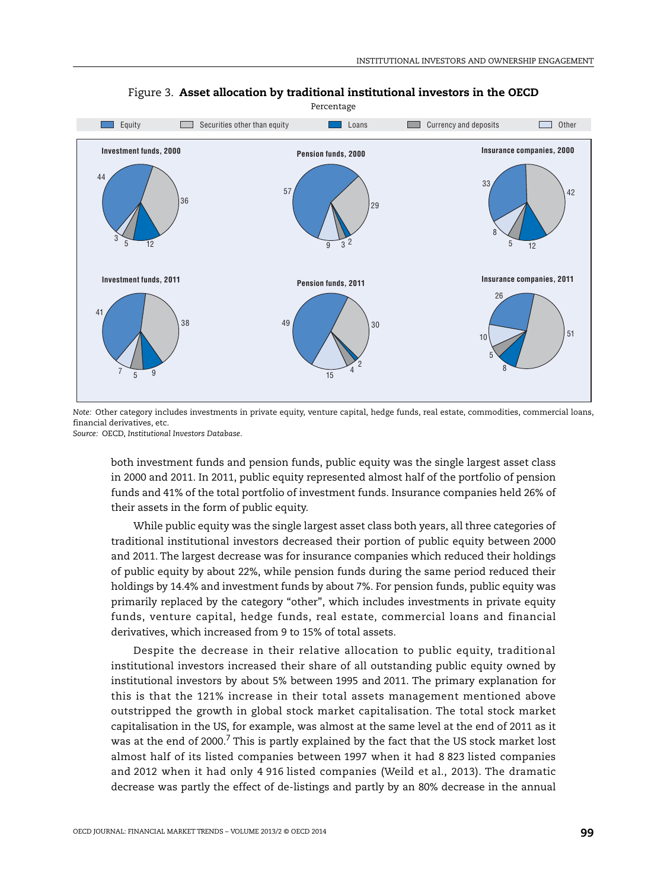<span id="page-6-0"></span>

# Figure 3. **Asset allocation by traditional institutional investors in the OECD**

*Note:* Other category includes investments in private equity, venture capital, hedge funds, real estate, commodities, commercial loans, financial derivatives, etc.

*Source:* OECD, *Institutional Investors Database*.

bot[h investm](#page-6-0)ent funds and pension funds, public equity was the single largest asset class in 2000 and 2011. In 2011, public equity represented almost half of the portfolio of pension funds and 41% of the total portfolio of investment funds. Insurance companies held 26% of their assets in the form of public equity.

While public equity was the single largest asset class both years, all three categories of traditional institutional investors decreased their portion of public equity between 2000 and 2011. The largest decrease was for insurance companies which reduced their holdings of public equity by about 22%, while pension funds during the same period reduced their holdings by 14.4% and investment funds by about 7%. For pension funds, public equity was primarily replaced by the category "other", which includes investments in private equity funds, venture capital, hedge funds, real estate, commercial loans and financial derivatives, which increased from 9 to 15% of total assets.

Despite the decrease in their relative allocation to public equity, traditional institutional investors increased their share of all outstanding public equity owned by institutional investors by about 5% between 1995 and 2011. The primary explanation for this is that the 121% increase in their total assets management mentioned above outstripped the growth in global stock market capitalisation. The total stock market capitalisation in the US, for example, was almost at the same level at the end of 2011 as it was at the end of 2000.<sup>7</sup> This is partly explained by the fact that the US stock market lost almost half of its listed companies between 1997 when it had 8 823 listed companies and 2012 when it had [o](#page-20-1)nly 4 916 listed companies (Weild et al., 2013). The dramatic decrease was partly the effect of de-listings and partly by an 80% decrease in the annual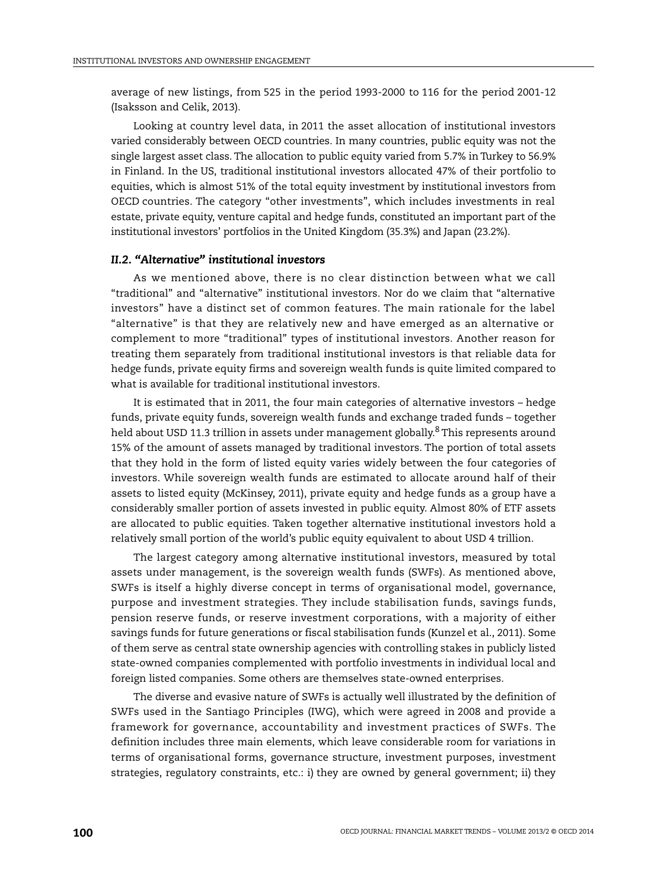average of new listings, from 525 in the period 1993-2000 to 116 for the period 2001-12 (Isaksson and Celik, 2013).

Looking at country level data, in 2011 the asset allocation of institutional investors varied considerably between OECD countries. In many countries, public equity was not the single largest asset class. The allocation to public equity varied from 5.7% in Turkey to 56.9% in Finland. In the US, traditional institutional investors allocated 47% of their portfolio to equities, which is almost 51% of the total equity investment by institutional investors from OECD countries. The category "other investments", which includes investments in real estate, private equity, venture capital and hedge funds, constituted an important part of the institutional investors' portfolios in the United Kingdom (35.3%) and Japan (23.2%).

# *II.2. "Alternative" institutional investors*

As we mentioned above, there is no clear distinction between what we call "traditional" and "alternative" institutional investors. Nor do we claim that "alternative investors" have a distinct set of common features. The main rationale for the label "alternative" is that they are relatively new and have emerged as an alternative or complement to more "traditional" types of institutional investors. Another reason for treating them separately from traditional institutional investors is that reliable data for hedge funds, private equity firms and sovereign wealth funds is quite limited compared to what is available for traditional institutional investors.

It is estimated that in 2011, the four main categories of alternative investors – hedge funds, private equity funds, sovereign wealth funds and exchange traded funds – together held about USD 11.3 trillion in assets under management globally.<sup>8</sup> This represents around 15% of the amount of assets managed by traditional investors. The portion of total assets that they hold in the form of listed equity varies widely betwe[en](#page-20-2) the four categories of investors. While sovereign wealth funds are estimated to allocate around half of their assets to listed equity (McKinsey, 2011), private equity and hedge funds as a group have a considerably smaller portion of assets invested in public equity. Almost 80% of ETF assets are allocated to public equities. Taken together alternative institutional investors hold a relatively small portion of the world's public equity equivalent to about USD 4 trillion.

The largest category among alternative institutional investors, measured by total assets under management, is the sovereign wealth funds (SWFs). As mentioned above, SWFs is itself a highly diverse concept in terms of organisational model, governance, purpose and investment strategies. They include stabilisation funds, savings funds, pension reserve funds, or reserve investment corporations, with a majority of either savings funds for future generations or fiscal stabilisation funds (Kunzel et al., 2011). Some of them serve as central state ownership agencies with controlling stakes in publicly listed state-owned companies complemented with portfolio investments in individual local and foreign listed companies. Some others are themselves state-owned enterprises.

The diverse and evasive nature of SWFs is actually well illustrated by the definition of SWFs used in the Santiago Principles (IWG), which were agreed in 2008 and provide a framework for governance, accountability and investment practices of SWFs. The definition includes three main elements, which leave considerable room for variations in terms of organisational forms, governance structure, investment purposes, investment strategies, regulatory constraints, etc.: i) they are owned by general government; ii) they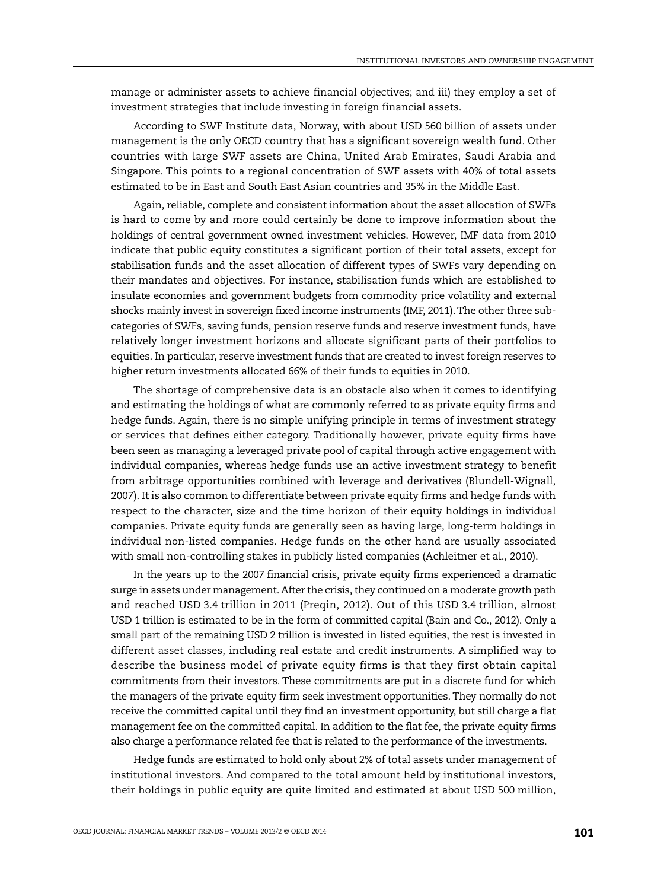manage or administer assets to achieve financial objectives; and iii) they employ a set of investment strategies that include investing in foreign financial assets.

According to SWF Institute data, Norway, with about USD 560 billion of assets under management is the only OECD country that has a significant sovereign wealth fund. Other countries with large SWF assets are China, United Arab Emirates, Saudi Arabia and Singapore. This points to a regional concentration of SWF assets with 40% of total assets estimated to be in East and South East Asian countries and 35% in the Middle East.

Again, reliable, complete and consistent information about the asset allocation of SWFs is hard to come by and more could certainly be done to improve information about the holdings of central government owned investment vehicles. However, IMF data from 2010 indicate that public equity constitutes a significant portion of their total assets, except for stabilisation funds and the asset allocation of different types of SWFs vary depending on their mandates and objectives. For instance, stabilisation funds which are established to insulate economies and government budgets from commodity price volatility and external shocks mainly invest in sovereign fixed income instruments (IMF, 2011). The other three subcategories of SWFs, saving funds, pension reserve funds and reserve investment funds, have relatively longer investment horizons and allocate significant parts of their portfolios to equities. In particular, reserve investment funds that are created to invest foreign reserves to higher return investments allocated 66% of their funds to equities in 2010.

The shortage of comprehensive data is an obstacle also when it comes to identifying and estimating the holdings of what are commonly referred to as private equity firms and hedge funds. Again, there is no simple unifying principle in terms of investment strategy or services that defines either category. Traditionally however, private equity firms have been seen as managing a leveraged private pool of capital through active engagement with individual companies, whereas hedge funds use an active investment strategy to benefit from arbitrage opportunities combined with leverage and derivatives (Blundell-Wignall, 2007). It is also common to differentiate between private equity firms and hedge funds with respect to the character, size and the time horizon of their equity holdings in individual companies. Private equity funds are generally seen as having large, long-term holdings in individual non-listed companies. Hedge funds on the other hand are usually associated with small non-controlling stakes in publicly listed companies (Achleitner et al., 2010).

In the years up to the 2007 financial crisis, private equity firms experienced a dramatic surge in assets under management. After the crisis, they continued on a moderate growth path and reached USD 3.4 trillion in 2011 (Preqin, 2012). Out of this USD 3.4 trillion, almost USD 1 trillion is estimated to be in the form of committed capital (Bain and Co., 2012). Only a small part of the remaining USD 2 trillion is invested in listed equities, the rest is invested in different asset classes, including real estate and credit instruments. A simplified way to describe the business model of private equity firms is that they first obtain capital commitments from their investors. These commitments are put in a discrete fund for which the managers of the private equity firm seek investment opportunities. They normally do not receive the committed capital until they find an investment opportunity, but still charge a flat management fee on the committed capital. In addition to the flat fee, the private equity firms also charge a performance related fee that is related to the performance of the investments.

Hedge funds are estimated to hold only about 2% of total assets under management of institutional investors. And compared to the total amount held by institutional investors, their holdings in public equity are quite limited and estimated at about USD 500 million,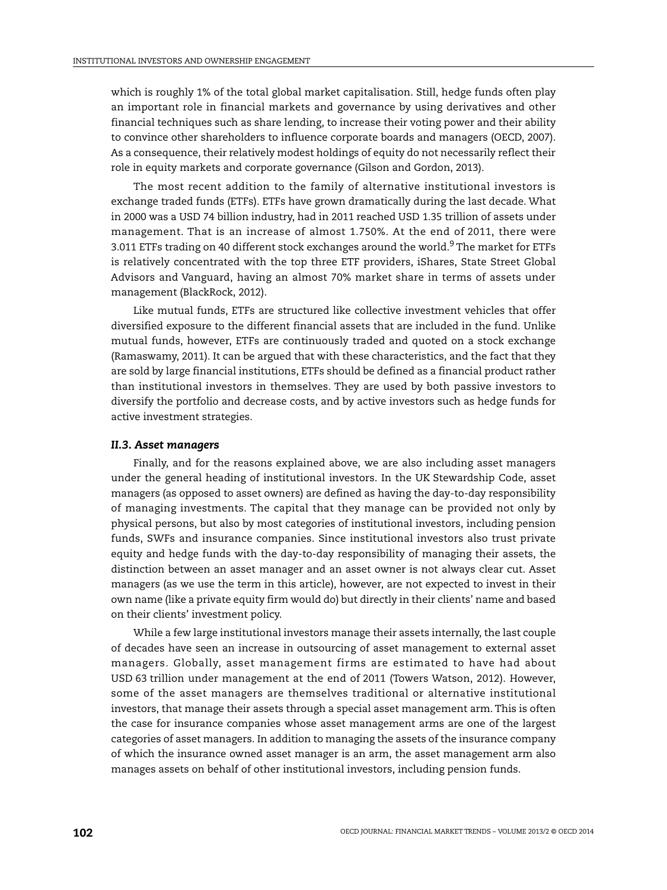which is roughly 1% of the total global market capitalisation. Still, hedge funds often play an important role in financial markets and governance by using derivatives and other financial techniques such as share lending, to increase their voting power and their ability to convince other shareholders to influence corporate boards and managers (OECD, 2007). As a consequence, their relatively modest holdings of equity do not necessarily reflect their role in equity markets and corporate governance (Gilson and Gordon, 2013).

The most recent addition to the family of alternative institutional investors is exchange traded funds (ETFs). ETFs have grown dramatically during the last decade. What in 2000 was a USD 74 billion industry, had in 2011 reached USD 1.35 trillion of assets under management. That is an increase of almost 1.750%. At the end of 2011, there were 3.011 ETFs trading on 40 different stock exchanges around the world.<sup>9</sup> The market for ETFs is relatively concentrated with the top three ETF providers, iShare[s](#page-20-3), State Street Global Advisors and Vanguard, having an almost 70% market share in terms of assets under management (BlackRock, 2012).

Like mutual funds, ETFs are structured like collective investment vehicles that offer diversified exposure to the different financial assets that are included in the fund. Unlike mutual funds, however, ETFs are continuously traded and quoted on a stock exchange (Ramaswamy, 2011). It can be argued that with these characteristics, and the fact that they are sold by large financial institutions, ETFs should be defined as a financial product rather than institutional investors in themselves. They are used by both passive investors to diversify the portfolio and decrease costs, and by active investors such as hedge funds for active investment strategies.

#### *II.3. Asset managers*

Finally, and for the reasons explained above, we are also including asset managers under the general heading of institutional investors. In the UK Stewardship Code, asset managers (as opposed to asset owners) are defined as having the day-to-day responsibility of managing investments. The capital that they manage can be provided not only by physical persons, but also by most categories of institutional investors, including pension funds, SWFs and insurance companies. Since institutional investors also trust private equity and hedge funds with the day-to-day responsibility of managing their assets, the distinction between an asset manager and an asset owner is not always clear cut. Asset managers (as we use the term in this article), however, are not expected to invest in their own name (like a private equity firm would do) but directly in their clients' name and based on their clients' investment policy.

While a few large institutional investors manage their assets internally, the last couple of decades have seen an increase in outsourcing of asset management to external asset managers. Globally, asset management firms are estimated to have had about USD 63 trillion under management at the end of 2011 (Towers Watson, 2012). However, some of the asset managers are themselves traditional or alternative institutional investors, that manage their assets through a special asset management arm. This is often the case for insurance companies whose asset management arms are one of the largest categories of asset managers. In addition to managing the assets of the insurance company of which the insurance owned asset manager is an arm, the asset management arm also manages assets on behalf of other institutional investors, including pension funds.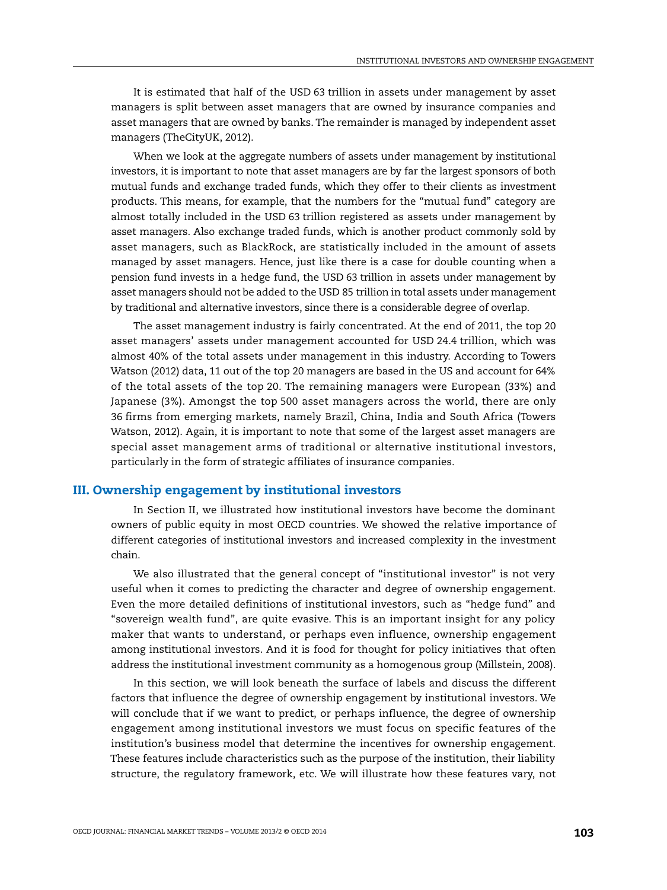It is estimated that half of the USD 63 trillion in assets under management by asset managers is split between asset managers that are owned by insurance companies and asset managers that are owned by banks. The remainder is managed by independent asset managers (TheCityUK, 2012).

When we look at the aggregate numbers of assets under management by institutional investors, it is important to note that asset managers are by far the largest sponsors of both mutual funds and exchange traded funds, which they offer to their clients as investment products. This means, for example, that the numbers for the "mutual fund" category are almost totally included in the USD 63 trillion registered as assets under management by asset managers. Also exchange traded funds, which is another product commonly sold by asset managers, such as BlackRock, are statistically included in the amount of assets managed by asset managers. Hence, just like there is a case for double counting when a pension fund invests in a hedge fund, the USD 63 trillion in assets under management by asset managers should not be added to the USD 85 trillion in total assets under management by traditional and alternative investors, since there is a considerable degree of overlap.

The asset management industry is fairly concentrated. At the end of 2011, the top 20 asset managers' assets under management accounted for USD 24.4 trillion, which was almost 40% of the total assets under management in this industry. According to Towers Watson (2012) data, 11 out of the top 20 managers are based in the US and account for 64% of the total assets of the top 20. The remaining managers were European (33%) and Japanese (3%). Amongst the top 500 asset managers across the world, there are only 36 firms from emerging markets, namely Brazil, China, India and South Africa (Towers Watson, 2012). Again, it is important to note that some of the largest asset managers are special asset management arms of traditional or alternative institutional investors, particularly in the form of strategic affiliates of insurance companies.

# <span id="page-10-0"></span>**III. Ownership engagement by institutional investors**

In [Section II,](#page-2-0) we illustrated how institutional investors have become the dominant owners of public equity in most OECD countries. We showed the relative importance of different categories of institutional investors and increased complexity in the investment chain.

We also illustrated that the general concept of "institutional investor" is not very useful when it comes to predicting the character and degree of ownership engagement. Even the more detailed definitions of institutional investors, such as "hedge fund" and "sovereign wealth fund", are quite evasive. This is an important insight for any policy maker that wants to understand, or perhaps even influence, ownership engagement among institutional investors. And it is food for thought for policy initiatives that often address the institutional investment community as a homogenous group (Millstein, 2008).

In this section, we will look beneath the surface of labels and discuss the different factors that influence the degree of ownership engagement by institutional investors. We will conclude that if we want to predict, or perhaps influence, the degree of ownership engagement among institutional investors we must focus on specific features of the institution's business model that determine the incentives for ownership engagement. These features include characteristics such as the purpose of the institution, their liability structure, the regulatory framework, etc. We will illustrate how these features vary, not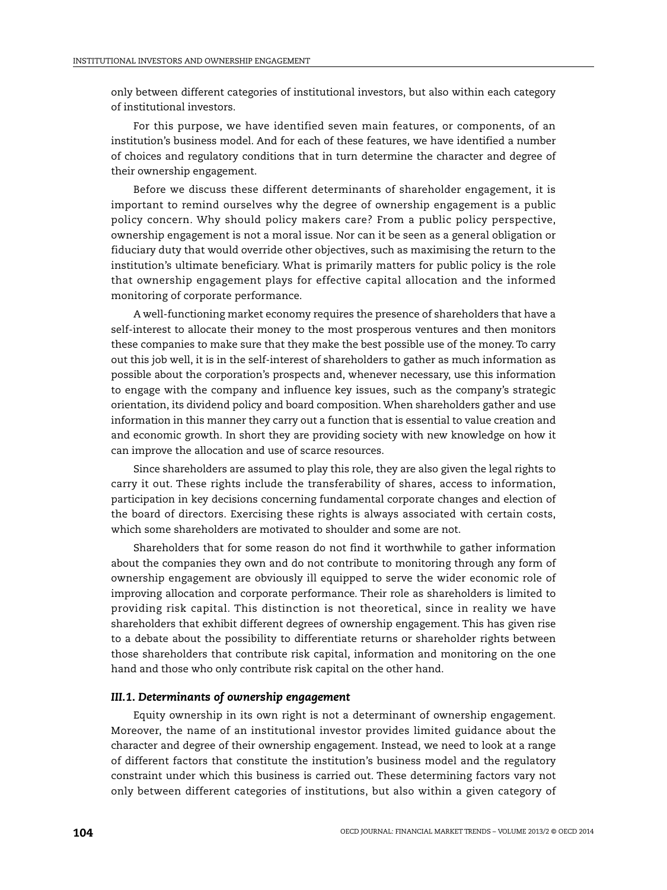only between different categories of institutional investors, but also within each category of institutional investors.

For this purpose, we have identified seven main features, or components, of an institution's business model. And for each of these features, we have identified a number of choices and regulatory conditions that in turn determine the character and degree of their ownership engagement.

Before we discuss these different determinants of shareholder engagement, it is important to remind ourselves why the degree of ownership engagement is a public policy concern. Why should policy makers care? From a public policy perspective, ownership engagement is not a moral issue. Nor can it be seen as a general obligation or fiduciary duty that would override other objectives, such as maximising the return to the institution's ultimate beneficiary. What is primarily matters for public policy is the role that ownership engagement plays for effective capital allocation and the informed monitoring of corporate performance.

A well-functioning market economy requires the presence of shareholders that have a self-interest to allocate their money to the most prosperous ventures and then monitors these companies to make sure that they make the best possible use of the money. To carry out this job well, it is in the self-interest of shareholders to gather as much information as possible about the corporation's prospects and, whenever necessary, use this information to engage with the company and influence key issues, such as the company's strategic orientation, its dividend policy and board composition. When shareholders gather and use information in this manner they carry out a function that is essential to value creation and and economic growth. In short they are providing society with new knowledge on how it can improve the allocation and use of scarce resources.

Since shareholders are assumed to play this role, they are also given the legal rights to carry it out. These rights include the transferability of shares, access to information, participation in key decisions concerning fundamental corporate changes and election of the board of directors. Exercising these rights is always associated with certain costs, which some shareholders are motivated to shoulder and some are not.

Shareholders that for some reason do not find it worthwhile to gather information about the companies they own and do not contribute to monitoring through any form of ownership engagement are obviously ill equipped to serve the wider economic role of improving allocation and corporate performance. Their role as shareholders is limited to providing risk capital. This distinction is not theoretical, since in reality we have shareholders that exhibit different degrees of ownership engagement. This has given rise to a debate about the possibility to differentiate returns or shareholder rights between those shareholders that contribute risk capital, information and monitoring on the one hand and those who only contribute risk capital on the other hand.

## <span id="page-11-0"></span>*III.1. Determinants of ownership engagement*

Equity ownership in its own right is not a determinant of ownership engagement. Moreover, the name of an institutional investor provides limited guidance about the character and degree of their ownership engagement. Instead, we need to look at a range of different factors that constitute the institution's business model and the regulatory constraint under which this business is carried out. These determining factors vary not only between different categories of institutions, but also within a given category of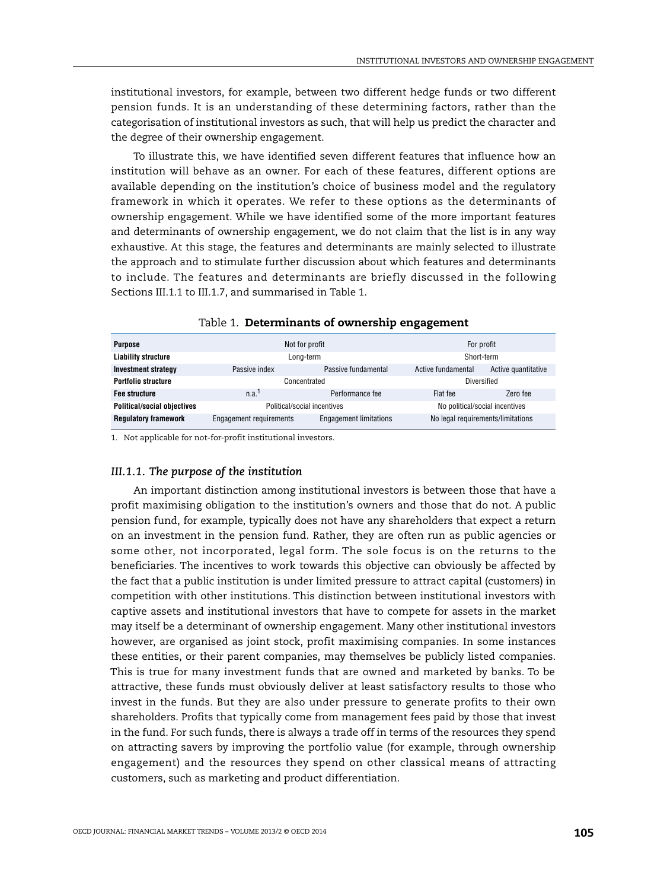institutional investors, for example, between two different hedge funds or two different pension funds. It is an understanding of these determining factors, rather than the categorisation of institutional investors as such, that will help us predict the character and the degree of their ownership engagement.

To illustrate this, we have identified seven different features that influence how an institution will behave as an owner. For each of these features, different options are available depending on the institution's choice of business model and the regulatory framework in which it operates. We refer to these options as the determinants of ownership engagement. While we have identified some of the more important features and determinants of ownership engagement, we do not claim that the list is in any way exhaustive. At this stage, the features and determinants are mainly selected to illustrate the approach and to stimulate further discussion about which features and determinants to include. The features and determinants are briefly discussed in the following [Sections III.1.1](#page-12-0) [to III.1.7,](#page-15-0) and summarised in [Table 1](#page-12-1).

<span id="page-12-1"></span>

| <b>Purpose</b>                     | Not for profit              |                               | For profit                        |                     |
|------------------------------------|-----------------------------|-------------------------------|-----------------------------------|---------------------|
| <b>Liability structure</b>         | Long-term                   |                               | Short-term                        |                     |
| <b>Investment strategy</b>         | Passive index               | Passive fundamental           | Active fundamental                | Active quantitative |
| <b>Portfolio structure</b>         | Concentrated                |                               | Diversified                       |                     |
| <b>Fee structure</b>               | n.a. <sup>1</sup>           | Performance fee               | Flat fee                          | Zero fee            |
| <b>Political/social objectives</b> | Political/social incentives |                               | No political/social incentives    |                     |
| <b>Requiatory framework</b>        | Engagement requirements     | <b>Engagement limitations</b> | No legal requirements/limitations |                     |

|  | Table 1. Determinants of ownership engagement |  |  |  |
|--|-----------------------------------------------|--|--|--|
|--|-----------------------------------------------|--|--|--|

<span id="page-12-2"></span>1. Not applicable for not-for-profit institutional investors.

## <span id="page-12-0"></span>*III.1.1. The purpose of the institution*

An important distinction among institutional investors is between those that have a profit maximising obligation to the institution's owners and those that do not. A public pension fund, for example, typically does not have any shareholders that expect a return on an investment in the pension fund. Rather, they are often run as public agencies or some other, not incorporated, legal form. The sole focus is on the returns to the beneficiaries. The incentives to work towards this objective can obviously be affected by the fact that a public institution is under limited pressure to attract capital (customers) in competition with other institutions. This distinction between institutional investors with captive assets and institutional investors that have to compete for assets in the market may itself be a determinant of ownership engagement. Many other institutional investors however, are organised as joint stock, profit maximising companies. In some instances these entities, or their parent companies, may themselves be publicly listed companies. This is true for many investment funds that are owned and marketed by banks. To be attractive, these funds must obviously deliver at least satisfactory results to those who invest in the funds. But they are also under pressure to generate profits to their own shareholders. Profits that typically come from management fees paid by those that invest in the fund. For such funds, there is always a trade off in terms of the resources they spend on attracting savers by improving the portfolio value (for example, through ownership engagement) and the resources they spend on other classical means of attracting customers, such as marketing and product differentiation.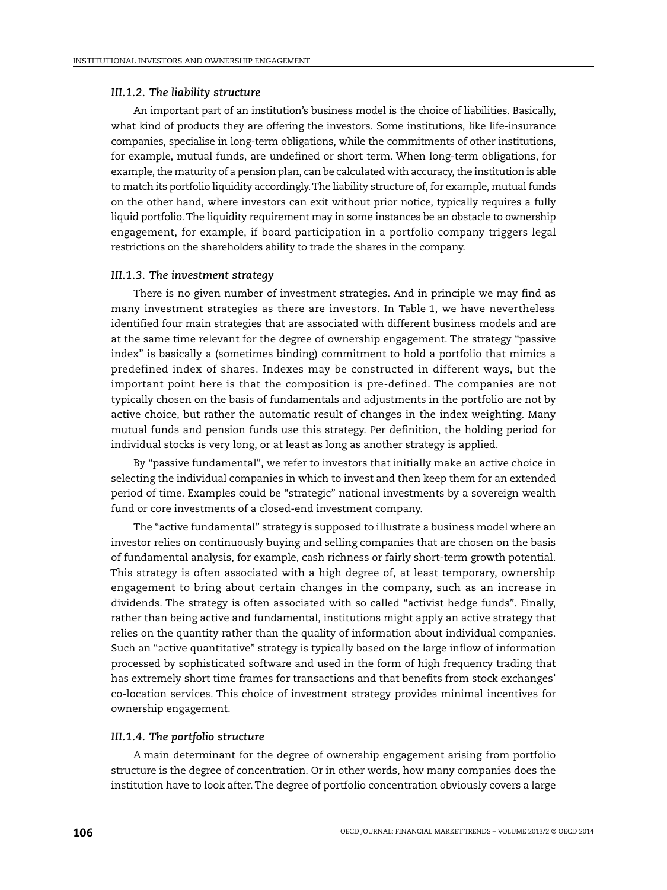## *III.1.2. The liability structure*

An important part of an institution's business model is the choice of liabilities. Basically, what kind of products they are offering the investors. Some institutions, like life-insurance companies, specialise in long-term obligations, while the commitments of other institutions, for example, mutual funds, are undefined or short term. When long-term obligations, for example, the maturity of a pension plan, can be calculated with accuracy, the institution is able to match its portfolio liquidity accordingly.The liability structure of, for example, mutual funds on the other hand, where investors can exit without prior notice, typically requires a fully liquid portfolio. The liquidity requirement may in some instances be an obstacle to ownership engagement, for example, if board participation in a portfolio company triggers legal restrictions on the shareholders ability to trade the shares in the company.

#### *III.1.3. The investment strategy*

There is no given number of investment strategies. And in principle we may find as many investment strategies as there are investors. In [Table 1](#page-12-1), we have nevertheless identified four main strategies that are associated with different business models and are at the same time relevant for the degree of ownership engagement. The strategy "passive index" is basically a (sometimes binding) commitment to hold a portfolio that mimics a predefined index of shares. Indexes may be constructed in different ways, but the important point here is that the composition is pre-defined. The companies are not typically chosen on the basis of fundamentals and adjustments in the portfolio are not by active choice, but rather the automatic result of changes in the index weighting. Many mutual funds and pension funds use this strategy. Per definition, the holding period for individual stocks is very long, or at least as long as another strategy is applied.

By "passive fundamental", we refer to investors that initially make an active choice in selecting the individual companies in which to invest and then keep them for an extended period of time. Examples could be "strategic" national investments by a sovereign wealth fund or core investments of a closed-end investment company.

The "active fundamental" strategy is supposed to illustrate a business model where an investor relies on continuously buying and selling companies that are chosen on the basis of fundamental analysis, for example, cash richness or fairly short-term growth potential. This strategy is often associated with a high degree of, at least temporary, ownership engagement to bring about certain changes in the company, such as an increase in dividends. The strategy is often associated with so called "activist hedge funds". Finally, rather than being active and fundamental, institutions might apply an active strategy that relies on the quantity rather than the quality of information about individual companies. Such an "active quantitative" strategy is typically based on the large inflow of information processed by sophisticated software and used in the form of high frequency trading that has extremely short time frames for transactions and that benefits from stock exchanges' co-location services. This choice of investment strategy provides minimal incentives for ownership engagement.

#### *III.1.4. The portfolio structure*

A main determinant for the degree of ownership engagement arising from portfolio structure is the degree of concentration. Or in other words, how many companies does the institution have to look after. The degree of portfolio concentration obviously covers a large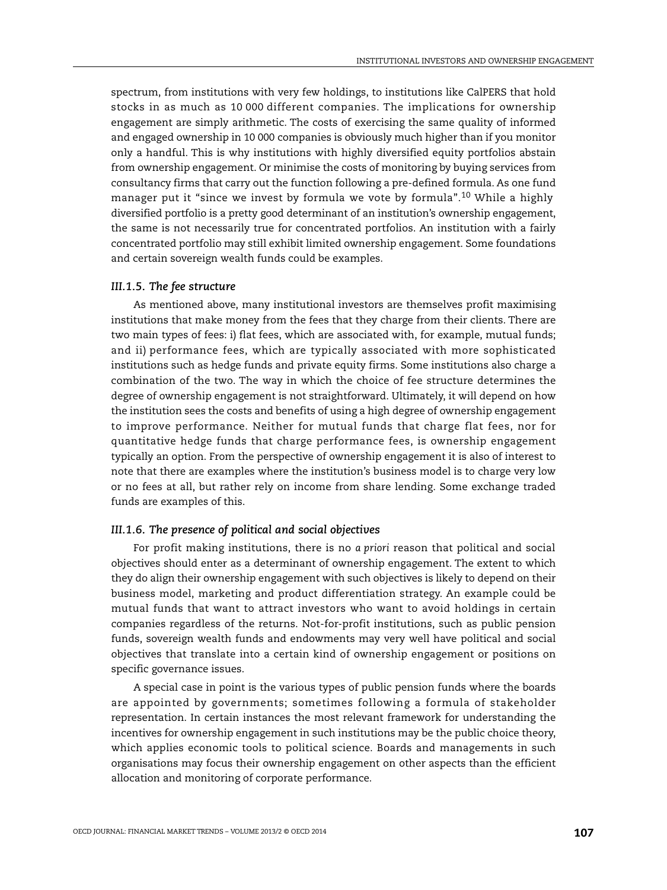spectrum, from institutions with very few holdings, to institutions like CalPERS that hold stocks in as much as 10 000 different companies. The implications for ownership engagement are simply arithmetic. The costs of exercising the same quality of informed and engaged ownership in 10 000 companies is obviously much higher than if you monitor only a handful. This is why institutions with highly diversified equity portfolios abstain from ownership engagement. Or minimise the costs of monitoring by buying services from consultancy firms that carry out the function following a pre-defined formula. As one fund manager put it "since we invest by formula we vote by formula".[10](#page-20-4) While a highly diversified portfolio is a pretty good determinant of an institution's ownership engagement, the same is not necessarily true for concentrated portfolios. An institution with a fairly concentrated portfolio may still exhibit limited ownership engagement. Some foundations and certain sovereign wealth funds could be examples.

### *III.1.5. The fee structure*

As mentioned above, many institutional investors are themselves profit maximising institutions that make money from the fees that they charge from their clients. There are two main types of fees: i) flat fees, which are associated with, for example, mutual funds; and ii) performance fees, which are typically associated with more sophisticated institutions such as hedge funds and private equity firms. Some institutions also charge a combination of the two. The way in which the choice of fee structure determines the degree of ownership engagement is not straightforward. Ultimately, it will depend on how the institution sees the costs and benefits of using a high degree of ownership engagement to improve performance. Neither for mutual funds that charge flat fees, nor for quantitative hedge funds that charge performance fees, is ownership engagement typically an option. From the perspective of ownership engagement it is also of interest to note that there are examples where the institution's business model is to charge very low or no fees at all, but rather rely on income from share lending. Some exchange traded funds are examples of this.

# *III.1.6. The presence of political and social objectives*

For profit making institutions, there is no *a priori* reason that political and social objectives should enter as a determinant of ownership engagement. The extent to which they do align their ownership engagement with such objectives is likely to depend on their business model, marketing and product differentiation strategy. An example could be mutual funds that want to attract investors who want to avoid holdings in certain companies regardless of the returns. Not-for-profit institutions, such as public pension funds, sovereign wealth funds and endowments may very well have political and social objectives that translate into a certain kind of ownership engagement or positions on specific governance issues.

A special case in point is the various types of public pension funds where the boards are appointed by governments; sometimes following a formula of stakeholder representation. In certain instances the most relevant framework for understanding the incentives for ownership engagement in such institutions may be the public choice theory, which applies economic tools to political science. Boards and managements in such organisations may focus their ownership engagement on other aspects than the efficient allocation and monitoring of corporate performance.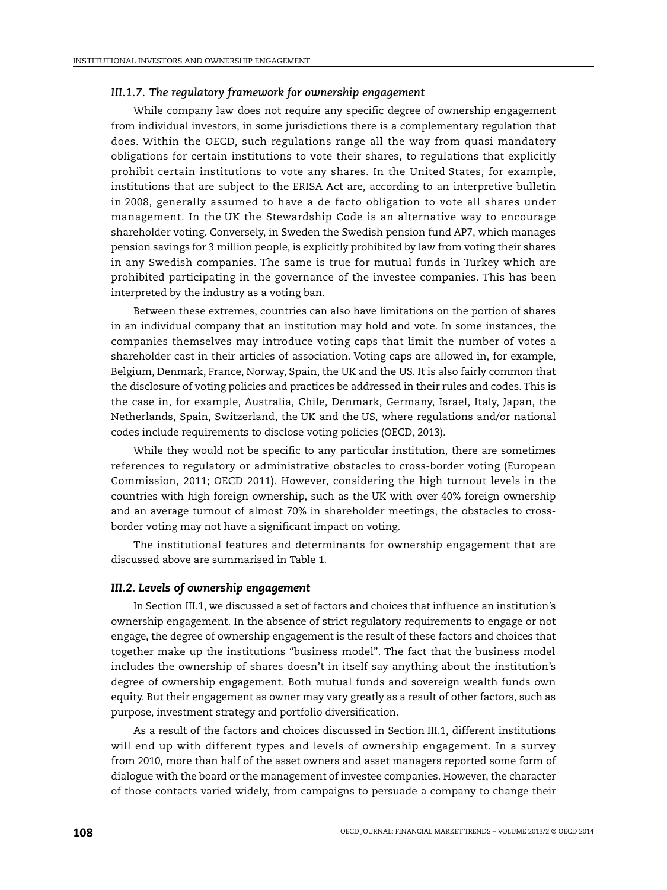## <span id="page-15-0"></span>*III.1.7. The regulatory framework for ownership engagement*

While company law does not require any specific degree of ownership engagement from individual investors, in some jurisdictions there is a complementary regulation that does. Within the OECD, such regulations range all the way from quasi mandatory obligations for certain institutions to vote their shares, to regulations that explicitly prohibit certain institutions to vote any shares. In the United States, for example, institutions that are subject to the ERISA Act are, according to an interpretive bulletin in 2008, generally assumed to have a de facto obligation to vote all shares under management. In the UK the Stewardship Code is an alternative way to encourage shareholder voting. Conversely, in Sweden the Swedish pension fund AP7, which manages pension savings for 3 million people, is explicitly prohibited by law from voting their shares in any Swedish companies. The same is true for mutual funds in Turkey which are prohibited participating in the governance of the investee companies. This has been interpreted by the industry as a voting ban.

Between these extremes, countries can also have limitations on the portion of shares in an individual company that an institution may hold and vote. In some instances, the companies themselves may introduce voting caps that limit the number of votes a shareholder cast in their articles of association. Voting caps are allowed in, for example, Belgium, Denmark, France, Norway, Spain, the UK and the US. It is also fairly common that the disclosure of voting policies and practices be addressed in their rules and codes. This is the case in, for example, Australia, Chile, Denmark, Germany, Israel, Italy, Japan, the Netherlands, Spain, Switzerland, the UK and the US, where regulations and/or national codes include requirements to disclose voting policies (OECD, 2013).

While they would not be specific to any particular institution, there are sometimes references to regulatory or administrative obstacles to cross-border voting (European Commission, 2011; OECD 2011). However, considering the high turnout levels in the countries with high foreign ownership, such as the UK with over 40% foreign ownership and an average turnout of almost 70% in shareholder meetings, the obstacles to crossborder voting may not have a significant impact on voting.

The institutional features and determinants for ownership engagement that are discussed above are summarised in [Table 1](#page-12-1).

## *III.2. Levels of ownership engagement*

In [Section III.1,](#page-11-0) we discussed a set of factors and choices that influence an institution's ownership engagement. In the absence of strict regulatory requirements to engage or not engage, the degree of ownership engagement is the result of these factors and choices that together make up the institutions "business model". The fact that the business model includes the ownership of shares doesn't in itself say anything about the institution's degree of ownership engagement. Both mutual funds and sovereign wealth funds own equity. But their engagement as owner may vary greatly as a result of other factors, such as purpose, investment strategy and portfolio diversification.

As a result of the factors and choices discussed in [Section III.1,](#page-11-0) different institutions will end up with different types and levels of ownership engagement. In a survey from 2010, more than half of the asset owners and asset managers reported some form of dialogue with the board or the management of investee companies. However, the character of those contacts varied widely, from campaigns to persuade a company to change their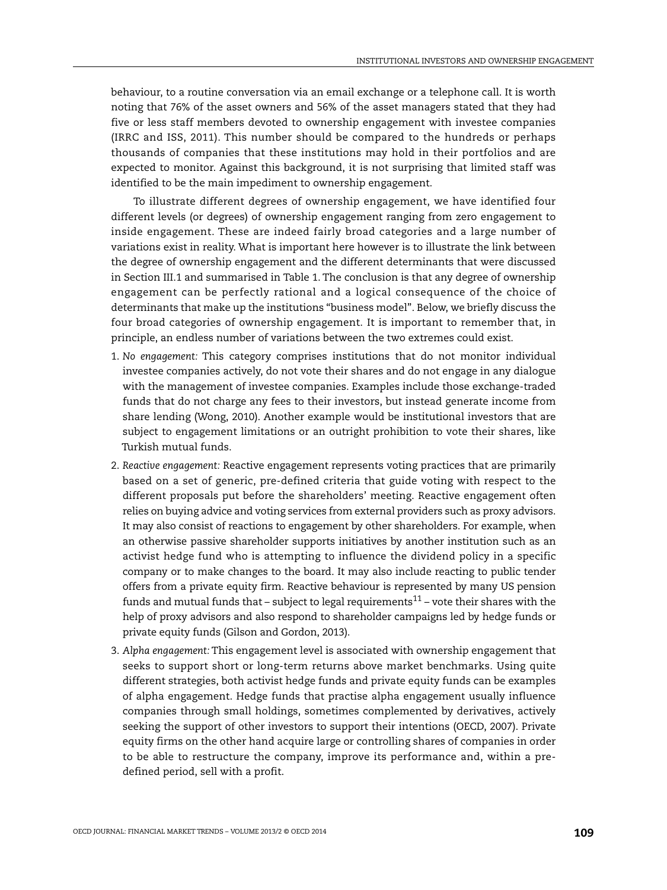behaviour, to a routine conversation via an email exchange or a telephone call. It is worth noting that 76% of the asset owners and 56% of the asset managers stated that they had five or less staff members devoted to ownership engagement with investee companies (IRRC and ISS, 2011). This number should be compared to the hundreds or perhaps thousands of companies that these institutions may hold in their portfolios and are expected to monitor. Against this background, it is not surprising that limited staff was identified to be the main impediment to ownership engagement.

To illustrate different degrees of ownership engagement, we have identified four different levels (or degrees) of ownership engagement ranging from zero engagement to inside engagement. These are indeed fairly broad categories and a large number of variations exist in reality. What is important here however is to illustrate the link between the degree of ownership engagement and the different determinants that were discussed in [Section III.1](#page-11-0) and summarised in [Table 1.](#page-12-1) The conclusion is that any degree of ownership engagement can be perfectly rational and a logical consequence of the choice of determinants that make up the institutions "business model". Below, we briefly discuss the four broad categories of ownership engagement. It is important to remember that, in principle, an endless number of variations between the two extremes could exist.

- 1. *No engagement:* This category comprises institutions that do not monitor individual investee companies actively, do not vote their shares and do not engage in any dialogue with the management of investee companies. Examples include those exchange-traded funds that do not charge any fees to their investors, but instead generate income from share lending (Wong, 2010). Another example would be institutional investors that are subject to engagement limitations or an outright prohibition to vote their shares, like Turkish mutual funds.
- 2. *Reactive engagement:* Reactive engagement represents voting practices that are primarily based on a set of generic, pre-defined criteria that guide voting with respect to the different proposals put before the shareholders' meeting. Reactive engagement often relies on buying advice and voting services from external providers such as proxy advisors. It may also consist of reactions to engagement by other shareholders. For example, when an otherwise passive shareholder supports initiatives by another institution such as an activist hedge fund who is attempting to influence the dividend policy in a specific company or to make changes to the board. It may also include reacting to public tender offers from a private equity firm. Reactive behaviour is represented by many US pension funds and mutual funds that – subject to legal requirements $^{11}$  – vote their shares with the help of proxy advisors and also respond to shareholder campaigns led by hedge funds or private equity funds (Gilson and Gordon, 2013).
- 3. *Alpha engagement:* This engagement level is associated with ownership engagement that seeks to support short or long-term returns above market benchmarks. Using quite different strategies, both activist hedge funds and private equity funds can be examples of alpha engagement. Hedge funds that practise alpha engagement usually influence companies through small holdings, sometimes complemented by derivatives, actively seeking the support of other investors to support their intentions (OECD, 2007). Private equity firms on the other hand acquire large or controlling shares of companies in order to be able to restructure the company, improve its performance and, within a predefined period, sell with a profit.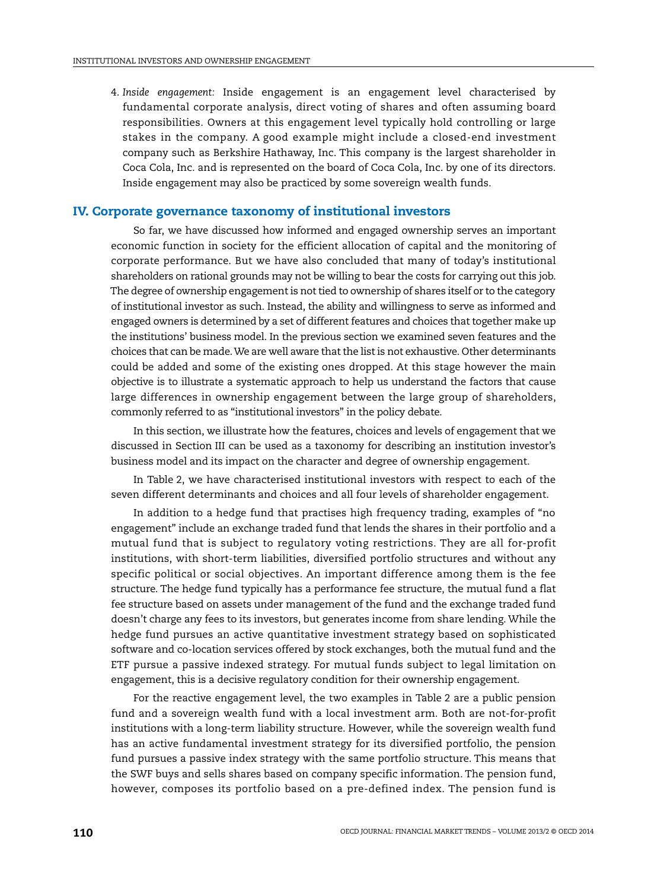4. *Inside engagement:* Inside engagement is an engagement level characterised by fundamental corporate analysis, direct voting of shares and often assuming board responsibilities. Owners at this engagement level typically hold controlling or large stakes in the company. A good example might include a closed-end investment company such as Berkshire Hathaway, Inc. This company is the largest shareholder in Coca Cola, Inc. and is represented on the board of Coca Cola, Inc. by one of its directors. Inside engagement may also be practiced by some sovereign wealth funds.

## <span id="page-17-0"></span>**IV. Corporate governance taxonomy of institutional investors**

So far, we have discussed how informed and engaged ownership serves an important economic function in society for the efficient allocation of capital and the monitoring of corporate performance. But we have also concluded that many of today's institutional shareholders on rational grounds may not be willing to bear the costs for carrying out this job. The degree of ownership engagement is not tied to ownership of shares itself or to the category of institutional investor as such. Instead, the ability and willingness to serve as informed and engaged owners is determined by a set of different features and choices that together make up the institutions' business model. In the previous section we examined seven features and the choices that can be made.We are well aware that the list is not exhaustive. Other determinants could be added and some of the existing ones dropped. At this stage however the main objective is to illustrate a systematic approach to help us understand the factors that cause large differences in ownership engagement between the large group of shareholders, commonly referred to as "institutional investors" in the policy debate.

In this section, we illustrate how the features, choices and levels of engagement that we discussed in [Section III](#page-10-0) can be used as a taxonomy for describing an institution investor's business model and its impact on the character and degree of ownership engagement.

In [Table 2](#page-18-0), we have characterised institutional investors with respect to each of the seven different determinants and choices and all four levels of shareholder engagement.

In addition to a hedge fund that practises high frequency trading, examples of "no engagement" include an exchange traded fund that lends the shares in their portfolio and a mutual fund that is subject to regulatory voting restrictions. They are all for-profit institutions, with short-term liabilities, diversified portfolio structures and without any specific political or social objectives. An important difference among them is the fee structure. The hedge fund typically has a performance fee structure, the mutual fund a flat fee structure based on assets under management of the fund and the exchange traded fund doesn't charge any fees to its investors, but generates income from share lending. While the hedge fund pursues an active quantitative investment strategy based on sophisticated software and co-location services offered by stock exchanges, both the mutual fund and the ETF pursue a passive indexed strategy. For mutual funds subject to legal limitation on engagement, this is a decisive regulatory condition for their ownership engagement.

For the reactive engagement level, the two examples in [Table 2](#page-18-0) are a public pension fund and a sovereign wealth fund with a local investment arm. Both are not-for-profit institutions with a long-term liability structure. However, while the sovereign wealth fund has an active fundamental investment strategy for its diversified portfolio, the pension fund pursues a passive index strategy with the same portfolio structure. This means that the SWF buys and sells shares based on company specific information. The pension fund, however, composes its portfolio based on a pre-defined index. The pension fund is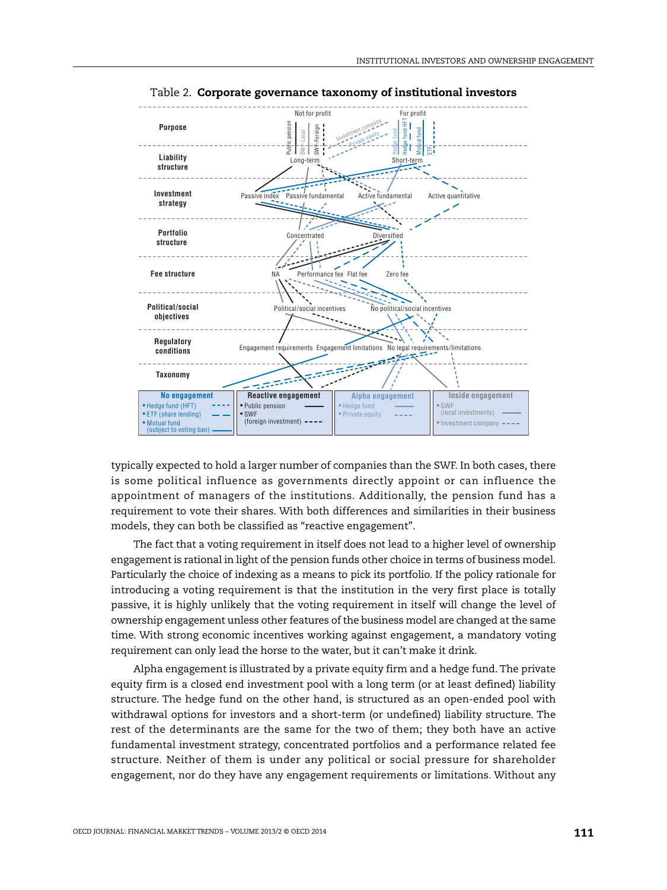<span id="page-18-0"></span>

Table 2. **Corporate governance taxonomy of institutional investors**

typically expected to hold a larger number of companies than the SWF. In both cases, there is some political influence as governments directly appoint or can influence the appointment of managers of the institutions. Additionally, the pension fund has a requirement to vote their shares. With both differences and similarities in their business models, they can both be classified as "reactive engagement".

The fact that a voting requirement in itself does not lead to a higher level of ownership engagement is rational in light of the pension funds other choice in terms of business model. Particularly the choice of indexing as a means to pick its portfolio. If the policy rationale for introducing a voting requirement is that the institution in the very first place is totally passive, it is highly unlikely that the voting requirement in itself will change the level of ownership engagement unless other features of the business model are changed at the same time. With strong economic incentives working against engagement, a mandatory voting requirement can only lead the horse to the water, but it can't make it drink.

Alpha engagement is illustrated by a private equity firm and a hedge fund. The private equity firm is a closed end investment pool with a long term (or at least defined) liability structure. The hedge fund on the other hand, is structured as an open-ended pool with withdrawal options for investors and a short-term (or undefined) liability structure. The rest of the determinants are the same for the two of them; they both have an active fundamental investment strategy, concentrated portfolios and a performance related fee structure. Neither of them is under any political or social pressure for shareholder engagement, nor do they have any engagement requirements or limitations. Without any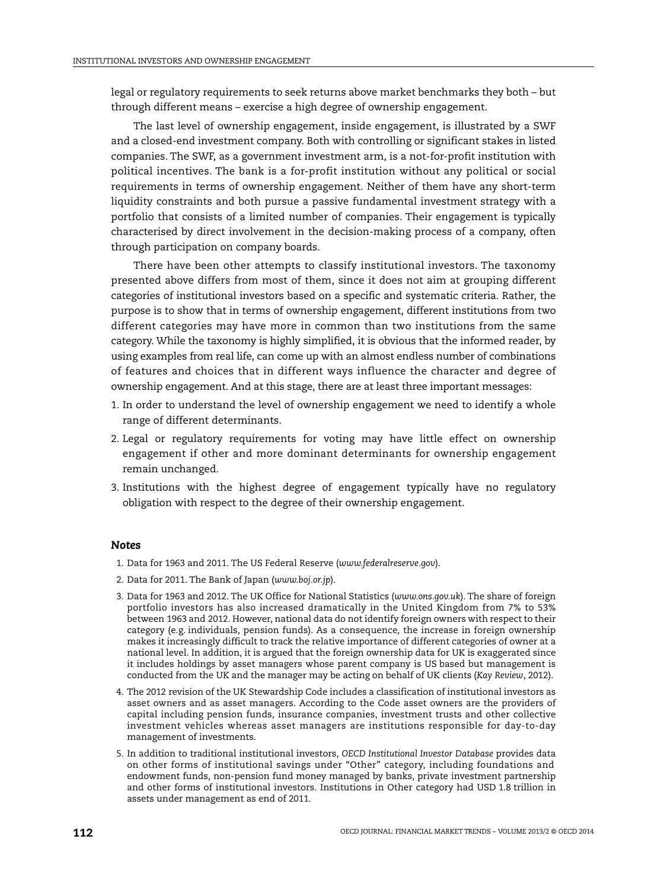legal or regulatory requirements to seek returns above market benchmarks they both – but through different means – exercise a high degree of ownership engagement.

The last level of ownership engagement, inside engagement, is illustrated by a SWF and a closed-end investment company. Both with controlling or significant stakes in listed companies. The SWF, as a government investment arm, is a not-for-profit institution with political incentives. The bank is a for-profit institution without any political or social requirements in terms of ownership engagement. Neither of them have any short-term liquidity constraints and both pursue a passive fundamental investment strategy with a portfolio that consists of a limited number of companies. Their engagement is typically characterised by direct involvement in the decision-making process of a company, often through participation on company boards.

There have been other attempts to classify institutional investors. The taxonomy presented above differs from most of them, since it does not aim at grouping different categories of institutional investors based on a specific and systematic criteria. Rather, the purpose is to show that in terms of ownership engagement, different institutions from two different categories may have more in common than two institutions from the same category. While the taxonomy is highly simplified, it is obvious that the informed reader, by using examples from real life, can come up with an almost endless number of combinations of features and choices that in different ways influence the character and degree of ownership engagement. And at this stage, there are at least three important messages:

- 1. In order to understand the level of ownership engagement we need to identify a whole range of different determinants.
- 2. Legal or regulatory requirements for voting may have little effect on ownership engagement if other and more dominant determinants for ownership engagement remain unchanged.
- 3. Institutions with the highest degree of engagement typically have no regulatory obligation with respect to the degree of their ownership engagement.

#### *Notes*

- <span id="page-19-0"></span>1. Data for 1963 and 2011. The US Federal Reserve (*[www.federalreserve.gov](http://www.federalreserve.gov)*).
- <span id="page-19-1"></span>2. Data for 2011. The Bank of Japan (*[www.boj.or.jp](http://www.boj.or.jp)*).
- <span id="page-19-2"></span>3. Data for 1963 and 2012. The UK Office for National Statistics (*[www.ons.gov.uk](http://www.ons.gov.uk)*). The share of foreign portfolio investors has also increased dramatically in the United Kingdom from 7% to 53% between 1963 and 2012. However, national data do not identify foreign owners with respect to their category (e.g. individuals, pension funds). As a consequence, the increase in foreign ownership makes it increasingly difficult to track the relative importance of different categories of owner at a national level. In addition, it is argued that the foreign ownership data for UK is exaggerated since it includes holdings by asset managers whose parent company is US based but management is conducted from the UK and the manager may be acting on behalf of UK clients (*Kay Review*, 2012).
- <span id="page-19-3"></span>4. The 2012 revision of the UK Stewardship Code includes a classification of institutional investors as asset owners and as asset managers. According to the Code asset owners are the providers of capital including pension funds, insurance companies, investment trusts and other collective investment vehicles whereas asset managers are institutions responsible for day-to-day management of investments.
- <span id="page-19-4"></span>5. In addition to traditional institutional investors, *OECD Institutional Investor Database* provides data on other forms of institutional savings under "Other" category, including foundations and endowment funds, non-pension fund money managed by banks, private investment partnership and other forms of institutional investors. Institutions in Other category had USD 1.8 trillion in assets under management as end of 2011.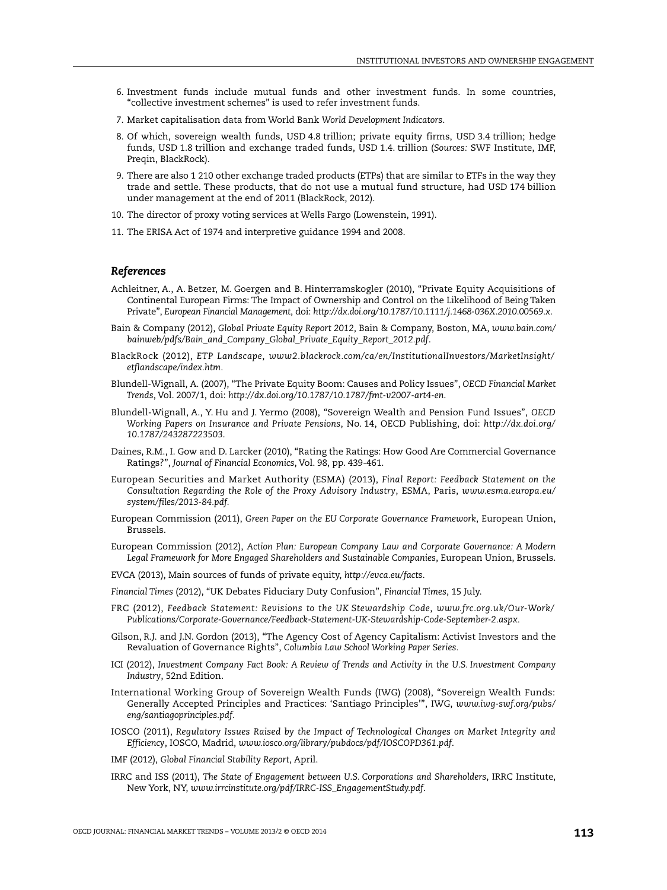- <span id="page-20-0"></span>6. Investment funds include mutual funds and other investment funds. In some countries, "collective investment schemes" is used to refer investment funds.
- <span id="page-20-1"></span>7. Market capitalisation data from World Bank *World Development Indicators*.
- <span id="page-20-2"></span>8. Of which, sovereign wealth funds, USD 4.8 trillion; private equity firms, USD 3.4 trillion; hedge funds, USD 1.8 trillion and exchange traded funds, USD 1.4. trillion (*Sources:* SWF Institute, IMF, Preqin, BlackRock).
- <span id="page-20-3"></span>9. There are also 1 210 other exchange traded products (ETPs) that are similar to ETFs in the way they trade and settle. These products, that do not use a mutual fund structure, had USD 174 billion under management at the end of 2011 (BlackRock, 2012).
- <span id="page-20-4"></span>10. The director of proxy voting services at Wells Fargo (Lowenstein, 1991).
- <span id="page-20-5"></span>11. The ERISA Act of 1974 and interpretive guidance 1994 and 2008.

### *References*

- Achleitner, A., A. Betzer, M. Goergen and B. Hinterramskogler (2010), "Private Equity Acquisitions of Continental European Firms: The Impact of Ownership and Control on the Likelihood of Being Taken Private", *European Financial Management*, doi: *<http://dx.doi.org/10.1787/10.1111/j.1468-036X.2010.00569.x>*.
- Bain & Company (2012), *Global Private Equity Report 2012*, Bain & Company, Boston, MA, *[www.bain.com/](http://www.bain.com/) bainweb/pdfs/Bain\_and\_Company\_Global\_Private\_Equity\_Report\_2012.pdf*.
- BlackRock (2012), *ETP Landscape*, *www2.blackrock.com/ca/en/InstitutionalInvestors/MarketInsight/ etflandscape/index.htm.*
- Blundell-Wignall, A. (2007), "The Private Equity Boom: Causes and Policy Issues", *OECD Financial Market Trends*, Vol. 2007/1, doi: *<http://dx.doi.org/10.1787/10.1787/fmt-v2007-art4-en>*.
- Blundell-Wignall, A., Y. Hu and J. Yermo (2008), "Sovereign Wealth and Pension Fund Issues", *OECD Working Papers on Insurance and Private Pensions*, No. 14, OECD Publishing, doi: *<http://dx.doi.org/> 10.1787/243287223503*.
- Daines, R.M., I. Gow and D. Larcker (2010), "Rating the Ratings: How Good Are Commercial Governance Ratings?", *Journal of Financial Economics*, Vol. 98, pp. 439-461.
- European Securities and Market Authority (ESMA) (2013), *Final Report: Feedback Statement on the Consultation Regarding the Role of the Proxy Advisory Industry*, ESMA, Paris, *[www.esma.europa.eu/](http://www.esma.europa.eu/) system/files/2013-84.pdf.*
- European Commission (2011), *Green Paper on the EU Corporate Governance Framework*, European Union, Brussels.
- European Commission (2012), *Action Plan: European Company Law and Corporate Governance: A Modern Legal Framework for More Engaged Shareholders and Sustainable Companies*, European Union, Brussels.
- EVCA (2013), Main sources of funds of private equity, *<http://evca.eu/facts>*.
- *Financial Times* (2012), "UK Debates Fiduciary Duty Confusion", *Financial Times*, 15 July.
- FRC (2012), *Feedback Statement: Revisions to the UK Stewardship Code*, *[www.frc.org.uk/Our-Work/](http://www.frc.org.uk/Our-Work/) Publications/Corporate-Governance/Feedback-Statement-UK-Stewardship-Code-September-2.aspx.*
- Gilson, R.J. and J.N. Gordon (2013), "The Agency Cost of Agency Capitalism: Activist Investors and the Revaluation of Governance Rights", *Columbia Law School Working Paper Series.*
- ICI (2012), *Investment Company Fact Book: A Review of Trends and Activity in the U.S. Investment Company Industry*, 52nd Edition.
- International Working Group of Sovereign Wealth Funds (IWG) (2008), "Sovereign Wealth Funds: Generally Accepted Principles and Practices: 'Santiago Principles'", IWG, *[www.iwg-swf.org/pubs/](http://www.iwg-swf.org/pubs/) eng/santiagoprinciples.pdf*.
- IOSCO (2011), *Regulatory Issues Raised by the Impact of Technological Changes on Market Integrity and Efficiency*, IOSCO, Madrid, *[www.iosco.org/library/pubdocs/pdf/IOSCOPD361.pdf](http://www.iosco.org/library/pubdocs/pdf/IOSCOPD361.pdf)*.
- IMF (2012), *Global Financial Stability Report*, April.
- IRRC and ISS (2011), *The State of Engagement between U.S. Corporations and Shareholders*, IRRC Institute, New York, NY, *[www.irrcinstitute.org/pdf/IRRC-ISS\\_EngagementStudy.pdf](http://www.irrcinstitute.org/pdf/IRRC-ISS_EngagementStudy.pdf)*.